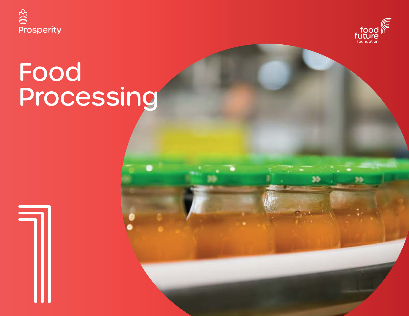



33

# Food Processing

**Food Vision 2030 169**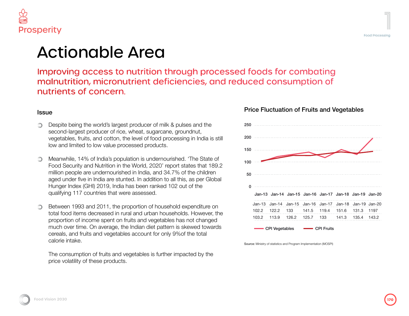

### Actionable Area

Improving access to nutrition through processed foods for combating malnutrition, micronutrient deficiencies, and reduced consumption of nutrients of concern.

#### **Issue**

- Despite being the world's largest producer of milk & pulses and the ∩ second-largest producer of rice, wheat, sugarcane, groundnut, vegetables, fruits, and cotton, the level of food processing in India is still low and limited to low value processed products.
- Meanwhile, 14% of India's population is undernourished. 'The State of Food Security and Nutrition in the World, 2020' report states that 189.2 million people are undernourished in India, and 34.7% of the children aged under five in India are stunted. In addition to all this, as per Global Hunger Index (GHI) 2019, India has been ranked 102 out of the qualifying 117 countries that were assessed.
- Between 1993 and 2011, the proportion of household expenditure on total food items decreased in rural and urban households. However, the proportion of income spent on fruits and vegetables has not changed much over time. On average, the Indian diet pattern is skewed towards cereals, and fruits and vegetables account for only 9%of the total calorie intake.

The consumption of fruits and vegetables is further impacted by the price volatility of these products.

### 250 200 150 100 50

Price Fluctuation of Fruits and Vegetables

| nn |       |                                                         |                       |  |       |        |
|----|-------|---------------------------------------------------------|-----------------------|--|-------|--------|
| 50 |       |                                                         |                       |  |       |        |
| O  |       |                                                         |                       |  |       |        |
|    |       |                                                         |                       |  |       |        |
|    |       | Jan-13 Jan-14 Jan-15 Jan-16 Jan-17 Jan-18 Jan-19 Jan-20 |                       |  |       |        |
|    |       | Jan-13 Jan-14 Jan-15 Jan-16 Jan-17 Jan-18 Jan-19 Jan-20 |                       |  |       |        |
|    | 102.2 | 122.2                                                   | 133 141.5 119.4 151.6 |  | 131.3 | - 1197 |
|    | 103.2 | 113.9                                                   | 126.2 125.7 133 141.3 |  | 135.4 | 143.2  |

CPI Vegetables **- CPI Fruits** 

Source: Ministry of statistics and Program Implementation (MOSPI)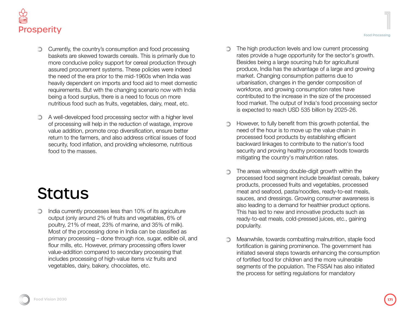

- Currently, the country's consumption and food processing baskets are skewed towards cereals. This is primarily due to more conducive policy support for cereal production through assured procurement systems. These policies were indeed the need of the era prior to the mid-1960s when India was heavily dependent on imports and food aid to meet domestic requirements. But with the changing scenario now with India being a food surplus, there is a need to focus on more nutritious food such as fruits, vegetables, dairy, meat, etc.
- A well-developed food processing sector with a higher level  $\circledcirc$ of processing will help in the reduction of wastage, improve value addition, promote crop diversification, ensure better return to the farmers, and also address critical issues of food security, food inflation, and providing wholesome, nutritious food to the masses.

## **Status**

India currently processes less than 10% of its agriculture  $\circlearrowright$ output (only around 2% of fruits and vegetables, 6% of poultry, 21% of meat, 23% of marine, and 35% of milk). Most of the processing done in India can be classified as primary processing – done through rice, sugar, edible oil, and flour mills, etc. However, primary processing offers lower value-addition compared to secondary processing that includes processing of high-value items viz fruits and vegetables, dairy, bakery, chocolates, etc.

- The high production levels and low current processing rates provide a huge opportunity for the sector's growth. Besides being a large sourcing hub for agricultural produce, India has the advantage of a large and growing market. Changing consumption patterns due to urbanisation, changes in the gender composition of workforce, and growing consumption rates have contributed to the increase in the size of the processed
- However, to fully benefit from this growth potential, the need of the hour is to move up the value chain in processed food products by establishing efficient backward linkages to contribute to the nation's food security and proving healthy processed foods towards mitigating the country's malnutrition rates.

is expected to reach USD 535 billion by 2025-26.

◯

food market. The output of India's food processing sector

- The areas witnessing double-digit growth within the ∩ processed food segment include breakfast cereals, bakery products, processed fruits and vegetables, processed meat and seafood, pasta/noodles, ready-to-eat meals, sauces, and dressings. Growing consumer awareness is also leading to a demand for healthier product options. This has led to new and innovative products such as ready-to-eat meals, cold-pressed juices, etc., gaining popularity.
- Meanwhile, towards combatting malnutrition, staple food ∩ fortification is gaining prominence. The government has initiated several steps towards enhancing the consumption of fortified food for children and the more vulnerable segments of the population. The FSSAI has also initiated the process for setting regulations for mandatory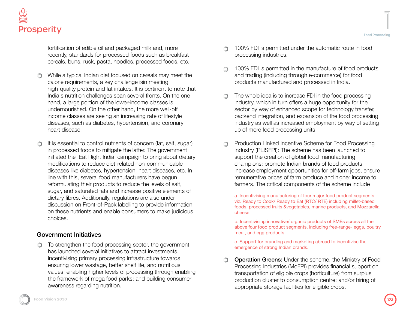fortification of edible oil and packaged milk and, more recently, standards for processed foods such as breakfast cereals, buns, rusk, pasta, noodles, processed foods, etc.

- While a typical Indian diet focused on cereals may meet the calorie requirements, a key challenge isin meeting high-quality protein and fat intakes. It is pertinent to note that India's nutrition challenges span several fronts. On the one hand, a large portion of the lower-income classes is undernourished. On the other hand, the more well-off income classes are seeing an increasing rate of lifestyle diseases, such as diabetes, hypertension, and coronary heart disease.
- It is essential to control nutrients of concern (fat, salt, sugar) ∩ in processed foods to mitigate the latter. The government initiated the 'Eat Right India' campaign to bring about dietary modifications to reduce diet-related non-communicable diseases like diabetes, hypertension, heart diseases, etc. In line with this, several food manufacturers have begun reformulating their products to reduce the levels of salt, sugar, and saturated fats and increase positive elements of dietary fibres. Additionally, regulations are also under discussion on Front-of-Pack labelling to provide information on these nutrients and enable consumers to make judicious choices.

#### Government Initiatives

To strengthen the food processing sector, the government has launched several initiatives to attract investments, incentivising primary processing infrastructure towards ensuring lower wastage, better shelf life, and nutritious values; enabling higher levels of processing through enabling the framework of mega food parks; and building consumer awareness regarding nutrition.

- 100% FDI is permitted under the automatic route in food processing industries.
- 100% FDI is permitted in the manufacture of food products ∩ and trading (including through e-commerce) for food products manufactured and processed in India.
- The whole idea is to increase FDI in the food processing ∩ industry, which in turn offers a huge opportunity for the sector by way of enhanced scope for technology transfer, backend integration, and expansion of the food processing industry as well as increased employment by way of setting up of more food processing units.
- Production Linked Incentive Scheme for Food Processing Industry (PLISFPI): The scheme has been launched to support the creation of global food manufacturing champions; promote Indian brands of food products; increase employment opportunities for off-farm jobs, ensure remunerative prices of farm produce and higher income to farmers. The critical components of the scheme include

a. Incentivising manufacturing of four major food product segments viz. Ready to Cook/ Ready to Eat (RTC/ RTE) including millet-based foods, processed fruits &vegetables, marine products, and Mozzarella cheese.

b. Incentivising innovative/ organic products of SMEs across all the above four food product segments, including free-range- eggs, poultry meat, and egg products.

c. Support for branding and marketing abroad to incentivise the emergence of strong Indian brands.

**Operation Greens:** Under the scheme, the Ministry of Food Processing Industries (MoFPI) provides financial support on transportation of eligible crops (horticulture) from surplus production cluster to consumption centre; and/or hiring of appropriate storage facilities for eligible crops.

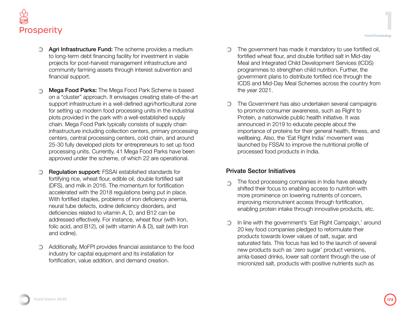

- Agri Infrastructure Fund: The scheme provides a medium to long-term debt financing facility for investment in viable projects for post-harvest management infrastructure and community farming assets through interest subvention and financial support.
- Mega Food Parks: The Mega Food Park Scheme is based on a "cluster" approach. It envisages creating state-of-the-art support infrastructure in a well-defined agri/horticultural zone for setting up modern food processing units in the industrial plots provided in the park with a well-established supply chain. Mega Food Park typically consists of supply chain infrastructure including collection centers, primary processing centers, central processing centers, cold chain, and around 25-30 fully developed plots for entrepreneurs to set up food processing units. Currently, 41 Mega Food Parks have been approved under the scheme, of which 22 are operational.
- Regulation support: FSSAI established standards for fortifying rice, wheat flour, edible oil, double fortified salt (DFS), and milk in 2016. The momentum for fortification accelerated with the 2018 regulations being put in place. With fortified staples, problems of iron deficiency anemia, neural tube defects, iodine deficiency disorders, and deficiencies related to vitamin A, D, and B12 can be addressed effectively. For instance, wheat flour (with Iron, folic acid, and B12), oil (with vitamin A & D), salt (with Iron and iodine).
- Additionally, MoFPI provides financial assistance to the food industry for capital equipment and its installation for fortification, value addition, and demand creation.
- The government has made it mandatory to use fortified oil, fortified wheat flour, and double fortified salt in Mid-day Meal and Integrated Child Development Services (ICDS) programmes to strengthen child nutrition. Further, the government plans to distribute fortified rice through the ICDS and Mid-Day Meal Schemes across the country from the year 2021.
- The Government has also undertaken several campaigns ∩ to promote consumer awareness, such as Right to Protein, a nationwide public health initiative. It was announced in 2019 to educate people about the importance of proteins for their general health, fitness, and wellbeing. Also, the 'Eat Right India' movement was launched by FSSAI to improve the nutritional profile of processed food products in India.

#### Private Sector Initiatives

- The food processing companies in India have already shifted their focus to enabling access to nutrition with more prominence on lowering nutrients of concern, improving micronutrient access through fortification, enabling protein intake through innovative products, etc.
- In line with the government's 'Eat Right Campaign,' around ∩ 20 key food companies pledged to reformulate their products towards lower values of salt, sugar, and saturated fats. This focus has led to the launch of several new products such as 'zero sugar' product versions, amla-based drinks, lower salt content through the use of micronized salt, products with positive nutrients such as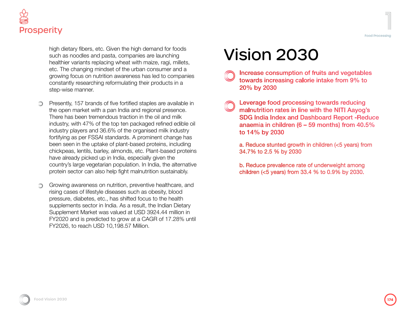

high dietary fibers, etc. Given the high demand for foods such as noodles and pasta, companies are launching healthier variants replacing wheat with maize, ragi, millets, etc. The changing mindset of the urban consumer and a growing focus on nutrition awareness has led to companies constantly researching reformulating their products in a step-wise manner.

- Presently, 157 brands of five fortified staples are available in ⊙ the open market with a pan India and regional presence. There has been tremendous traction in the oil and milk industry, with 47% of the top ten packaged refined edible oil industry players and 36.6% of the organised milk industry fortifying as per FSSAI standards. A prominent change has been seen in the uptake of plant-based proteins, including chickpeas, lentils, barley, almonds, etc. Plant-based proteins have already picked up in India, especially given the country's large vegetarian population. In India, the alternative protein sector can also help fight malnutrition sustainably.
- Growing awareness on nutrition, preventive healthcare, and rising cases of lifestyle diseases such as obesity, blood pressure, diabetes, etc., has shifted focus to the health supplements sector in India. As a result, the Indian Dietary Supplement Market was valued at USD 3924.44 million in FY2020 and is predicted to grow at a CAGR of 17.28% until FY2026, to reach USD 10,198.57 Million.

## Vision 2030

- Increase consumption of fruits and vegetables towards increasing calorie intake from 9% to 20% by 2030
- Leverage food processing towards reducing malnutrition rates in line with the NITI Aayog's **SDG India Index and Dashboard Report -Reduce** anaemia in children ( $6 - 59$  months) from 40.5% to 14% by 2030

a. Reduce stunted growth in children (<5 years) from 34.7% to 2.5 % by 2030

b. Reduce prevalence rate of underweight among children (<5 years) from 33.4 % to 0.9% by 2030.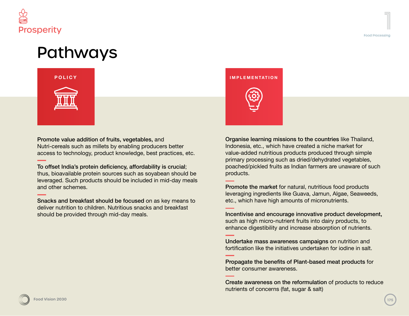



Promote value addition of fruits, vegetables, and Nutri-cereals such as millets by enabling producers better access to technology, product knowledge, best practices, etc.

To offset India's protein deficiency, affordability is crucial; thus, bioavailable protein sources such as soyabean should be leveraged. Such products should be included in mid-day meals and other schemes.

Snacks and breakfast should be focused on as key means to deliver nutrition to children. Nutritious snacks and breakfast should be provided through mid-day meals.

#### **INFRASTRUCTURE SUSTAINABILITY POLICY IMPLEMENTATION**



Organise learning missions to the countries like Thailand, Indonesia, etc., which have created a niche market for value-added nutritious products produced through simple primary processing such as dried/dehydrated vegetables, poached/pickled fruits as Indian farmers are unaware of such products.

Promote the market for natural, nutritious food products leveraging ingredients like Guava, Jamun, Algae, Seaweeds, etc., which have high amounts of micronutrients.

Incentivise and encourage innovative product development, such as high micro-nutrient fruits into dairy products, to enhance digestibility and increase absorption of nutrients.

Undertake mass awareness campaigns on nutrition and fortification like the initiatives undertaken for iodine in salt.

Propagate the benefits of Plant-based meat products for better consumer awareness.

Create awareness on the reformulation of products to reduce nutrients of concerns (fat, sugar & salt)